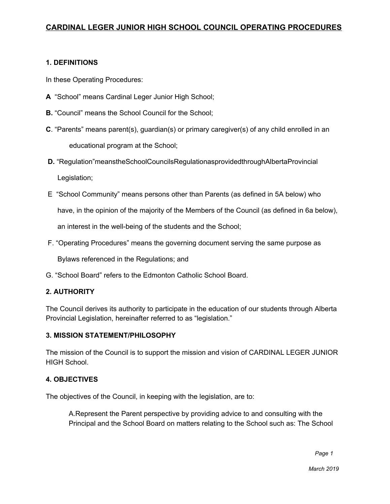### **1. DEFINITIONS**

In these Operating Procedures:

- **A** "School" means Cardinal Leger Junior High School;
- **B.** "Council" means the School Council for the School;
- **C**. "Parents" means parent(s), guardian(s) or primary caregiver(s) of any child enrolled in an educational program at the School;
- **D.** "Regulation"meanstheSchoolCouncilsRegulationasprovidedthroughAlbertaProvincial Legislation;
- E "School Community" means persons other than Parents (as defined in 5A below) who

have, in the opinion of the majority of the Members of the Council (as defined in 6a below),

an interest in the well-being of the students and the School;

F. "Operating Procedures" means the governing document serving the same purpose as

Bylaws referenced in the Regulations; and

G. "School Board" refers to the Edmonton Catholic School Board.

### **2. AUTHORITY**

The Council derives its authority to participate in the education of our students through Alberta Provincial Legislation, hereinafter referred to as "legislation."

### **3. MISSION STATEMENT/PHILOSOPHY**

The mission of the Council is to support the mission and vision of CARDINAL LEGER JUNIOR HIGH School.

### **4. OBJECTIVES**

The objectives of the Council, in keeping with the legislation, are to:

A.Represent the Parent perspective by providing advice to and consulting with the Principal and the School Board on matters relating to the School such as: The School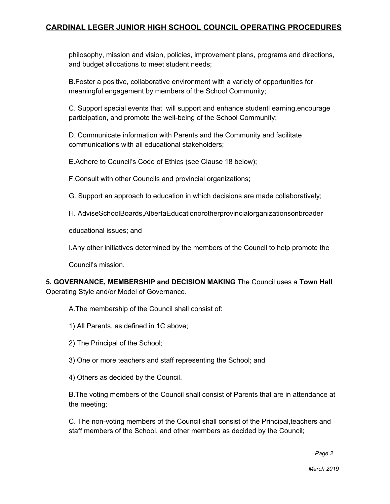philosophy, mission and vision, policies, improvement plans, programs and directions, and budget allocations to meet student needs;

B.Foster a positive, collaborative environment with a variety of opportunities for meaningful engagement by members of the School Community;

C. Support special events that will support and enhance studentl earning,encourage participation, and promote the well-being of the School Community;

D. Communicate information with Parents and the Community and facilitate communications with all educational stakeholders;

E.Adhere to Council's Code of Ethics (see Clause 18 below);

F.Consult with other Councils and provincial organizations;

G. Support an approach to education in which decisions are made collaboratively;

H. AdviseSchoolBoards,AlbertaEducationorotherprovincialorganizationsonbroader

educational issues; and

I.Any other initiatives determined by the members of the Council to help promote the

Council's mission.

**5. GOVERNANCE, MEMBERSHIP and DECISION MAKING** The Council uses a **Town Hall** Operating Style and/or Model of Governance.

A.The membership of the Council shall consist of:

- 1) All Parents, as defined in 1C above;
- 2) The Principal of the School;

3) One or more teachers and staff representing the School; and

4) Others as decided by the Council.

B.The voting members of the Council shall consist of Parents that are in attendance at the meeting;

C. The non-voting members of the Council shall consist of the Principal,teachers and staff members of the School, and other members as decided by the Council;

 *Page 2*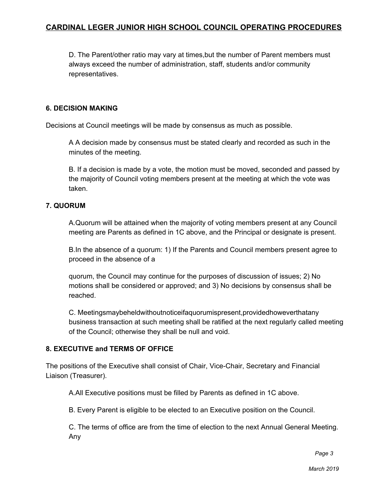D. The Parent/other ratio may vary at times,but the number of Parent members must always exceed the number of administration, staff, students and/or community representatives.

#### **6. DECISION MAKING**

Decisions at Council meetings will be made by consensus as much as possible.

A A decision made by consensus must be stated clearly and recorded as such in the minutes of the meeting.

B. If a decision is made by a vote, the motion must be moved, seconded and passed by the majority of Council voting members present at the meeting at which the vote was taken.

### **7. QUORUM**

A.Quorum will be attained when the majority of voting members present at any Council meeting are Parents as defined in 1C above, and the Principal or designate is present.

B.In the absence of a quorum: 1) If the Parents and Council members present agree to proceed in the absence of a

quorum, the Council may continue for the purposes of discussion of issues; 2) No motions shall be considered or approved; and 3) No decisions by consensus shall be reached.

C. Meetingsmaybeheldwithoutnoticeifaquorumispresent,providedhoweverthatany business transaction at such meeting shall be ratified at the next regularly called meeting of the Council; otherwise they shall be null and void.

### **8. EXECUTIVE and TERMS OF OFFICE**

The positions of the Executive shall consist of Chair, Vice-Chair, Secretary and Financial Liaison (Treasurer).

A.All Executive positions must be filled by Parents as defined in 1C above.

B. Every Parent is eligible to be elected to an Executive position on the Council.

C. The terms of office are from the time of election to the next Annual General Meeting. Any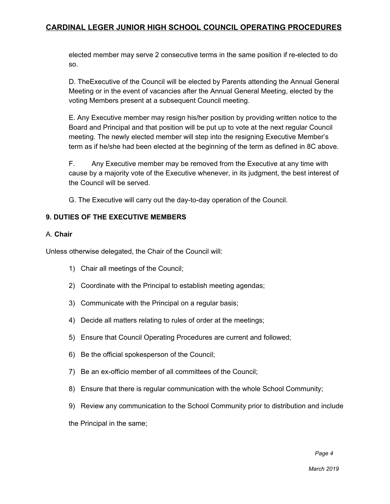elected member may serve 2 consecutive terms in the same position if re-elected to do so.

D. TheExecutive of the Council will be elected by Parents attending the Annual General Meeting or in the event of vacancies after the Annual General Meeting, elected by the voting Members present at a subsequent Council meeting.

E. Any Executive member may resign his/her position by providing written notice to the Board and Principal and that position will be put up to vote at the next regular Council meeting. The newly elected member will step into the resigning Executive Member's term as if he/she had been elected at the beginning of the term as defined in 8C above.

F. Any Executive member may be removed from the Executive at any time with cause by a majority vote of the Executive whenever, in its judgment, the best interest of the Council will be served.

G. The Executive will carry out the day-to-day operation of the Council.

### **9. DUTIES OF THE EXECUTIVE MEMBERS**

#### A. **Chair**

Unless otherwise delegated, the Chair of the Council will:

- 1) Chair all meetings of the Council;
- 2) Coordinate with the Principal to establish meeting agendas;
- 3) Communicate with the Principal on a regular basis;
- 4) Decide all matters relating to rules of order at the meetings;
- 5) Ensure that Council Operating Procedures are current and followed;
- 6) Be the official spokesperson of the Council;
- 7) Be an ex-officio member of all committees of the Council;
- 8) Ensure that there is regular communication with the whole School Community;
- 9) Review any communication to the School Community prior to distribution and include

the Principal in the same;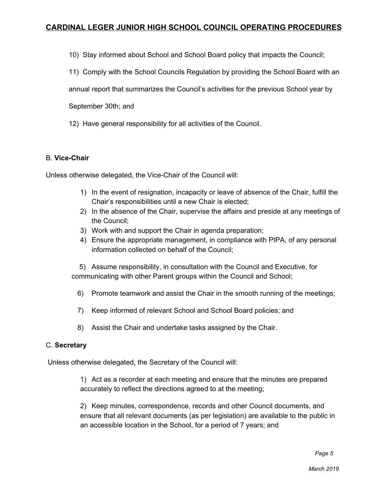10) Stay informed about School and School Board policy that impacts the Council;

11) Comply with the School Councils Regulation by providing the School Board with an

annual report that summarizes the Council's activities for the previous School year by

September 30th; and

12) Have general responsibility for all activities of the Council.

#### B. **Vice-Chair**

Unless otherwise delegated, the Vice-Chair of the Council will:

- 1) In the event of resignation, incapacity or leave of absence of the Chair, fulfill the Chair's responsibilities until a new Chair is elected;
- 2) In the absence of the Chair, supervise the affairs and preside at any meetings of the Council;
- 3) Work with and support the Chair in agenda preparation;
- 4) Ensure the appropriate management, in compliance with PIPA, of any personal information collected on behalf of the Council;

5) Assume responsibility, in consultation with the Council and Executive, for communicating with other Parent groups within the Council and School;

- 6) Promote teamwork and assist the Chair in the smooth running of the meetings;
- 7) Keep informed of relevant School and School Board policies; and
- 8) Assist the Chair and undertake tasks assigned by the Chair.

#### C. **Secretary**

Unless otherwise delegated, the Secretary of the Council will:

1) Act as a recorder at each meeting and ensure that the minutes are prepared accurately to reflect the directions agreed to at the meeting;

2) Keep minutes, correspondence, records and other Council documents, and ensure that all relevant documents (as per legislation) are available to the public in an accessible location in the School, for a period of 7 years; and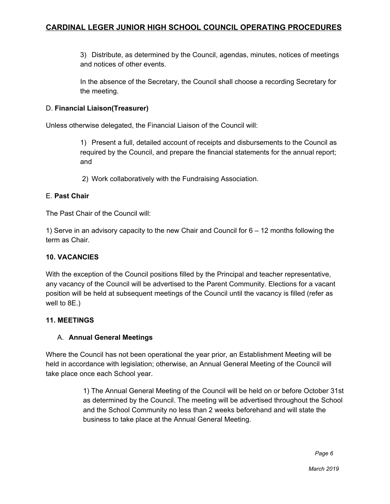3) Distribute, as determined by the Council, agendas, minutes, notices of meetings and notices of other events.

In the absence of the Secretary, the Council shall choose a recording Secretary for the meeting.

### D. **Financial Liaison(Treasurer)**

Unless otherwise delegated, the Financial Liaison of the Council will:

1) Present a full, detailed account of receipts and disbursements to the Council as required by the Council, and prepare the financial statements for the annual report; and

2) Work collaboratively with the Fundraising Association.

## E. **Past Chair**

The Past Chair of the Council will:

1) Serve in an advisory capacity to the new Chair and Council for 6 – 12 months following the term as Chair.

## **10. VACANCIES**

With the exception of the Council positions filled by the Principal and teacher representative, any vacancy of the Council will be advertised to the Parent Community. Elections for a vacant position will be held at subsequent meetings of the Council until the vacancy is filled (refer as well to 8E.)

## **11. MEETINGS**

## A. **Annual General Meetings**

Where the Council has not been operational the year prior, an Establishment Meeting will be held in accordance with legislation; otherwise, an Annual General Meeting of the Council will take place once each School year.

> 1) The Annual General Meeting of the Council will be held on or before October 31st as determined by the Council. The meeting will be advertised throughout the School and the School Community no less than 2 weeks beforehand and will state the business to take place at the Annual General Meeting.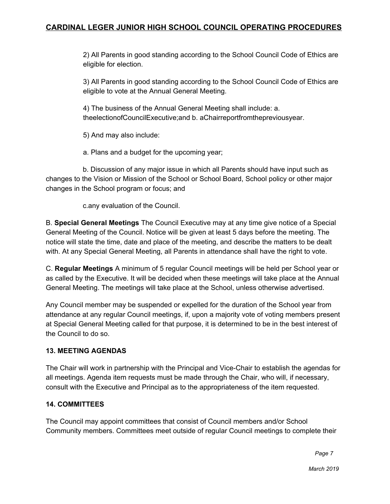2) All Parents in good standing according to the School Council Code of Ethics are eligible for election.

3) All Parents in good standing according to the School Council Code of Ethics are eligible to vote at the Annual General Meeting.

4) The business of the Annual General Meeting shall include: a. theelectionofCouncilExecutive;and b. aChairreportfromthepreviousyear.

5) And may also include:

a. Plans and a budget for the upcoming year;

b. Discussion of any major issue in which all Parents should have input such as changes to the Vision or Mission of the School or School Board, School policy or other major changes in the School program or focus; and

c.any evaluation of the Council.

B. **Special General Meetings** The Council Executive may at any time give notice of a Special General Meeting of the Council. Notice will be given at least 5 days before the meeting. The notice will state the time, date and place of the meeting, and describe the matters to be dealt with. At any Special General Meeting, all Parents in attendance shall have the right to vote.

C. **Regular Meetings** A minimum of 5 regular Council meetings will be held per School year or as called by the Executive. It will be decided when these meetings will take place at the Annual General Meeting. The meetings will take place at the School, unless otherwise advertised.

Any Council member may be suspended or expelled for the duration of the School year from attendance at any regular Council meetings, if, upon a majority vote of voting members present at Special General Meeting called for that purpose, it is determined to be in the best interest of the Council to do so.

### **13. MEETING AGENDAS**

The Chair will work in partnership with the Principal and Vice-Chair to establish the agendas for all meetings. Agenda item requests must be made through the Chair, who will, if necessary, consult with the Executive and Principal as to the appropriateness of the item requested.

### **14. COMMITTEES**

The Council may appoint committees that consist of Council members and/or School Community members. Committees meet outside of regular Council meetings to complete their

 *Page 7*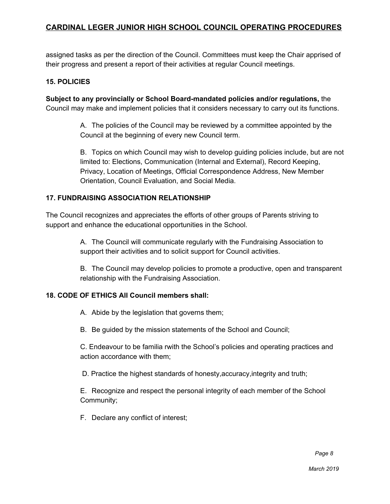assigned tasks as per the direction of the Council. Committees must keep the Chair apprised of their progress and present a report of their activities at regular Council meetings.

#### **15. POLICIES**

**Subject to any provincially or School Board-mandated policies and/or regulations,** the Council may make and implement policies that it considers necessary to carry out its functions.

> A. The policies of the Council may be reviewed by a committee appointed by the Council at the beginning of every new Council term.

B. Topics on which Council may wish to develop guiding policies include, but are not limited to: Elections, Communication (Internal and External), Record Keeping, Privacy, Location of Meetings, Official Correspondence Address, New Member Orientation, Council Evaluation, and Social Media.

### **17. FUNDRAISING ASSOCIATION RELATIONSHIP**

The Council recognizes and appreciates the efforts of other groups of Parents striving to support and enhance the educational opportunities in the School.

> A. The Council will communicate regularly with the Fundraising Association to support their activities and to solicit support for Council activities.

B. The Council may develop policies to promote a productive, open and transparent relationship with the Fundraising Association.

#### **18. CODE OF ETHICS All Council members shall:**

A. Abide by the legislation that governs them;

B. Be guided by the mission statements of the School and Council;

C. Endeavour to be familia rwith the School's policies and operating practices and action accordance with them;

D. Practice the highest standards of honesty,accuracy,integrity and truth;

E. Recognize and respect the personal integrity of each member of the School Community;

F. Declare any conflict of interest;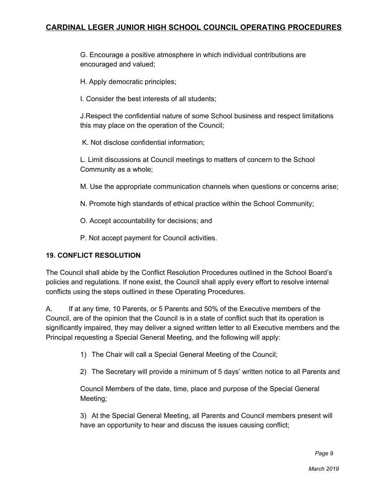G. Encourage a positive atmosphere in which individual contributions are encouraged and valued;

H. Apply democratic principles;

I. Consider the best interests of all students;

J.Respect the confidential nature of some School business and respect limitations this may place on the operation of the Council;

K. Not disclose confidential information;

L. Limit discussions at Council meetings to matters of concern to the School Community as a whole;

M. Use the appropriate communication channels when questions or concerns arise;

N. Promote high standards of ethical practice within the School Community;

O. Accept accountability for decisions; and

P. Not accept payment for Council activities.

## **19. CONFLICT RESOLUTION**

The Council shall abide by the Conflict Resolution Procedures outlined in the School Board's policies and regulations. If none exist, the Council shall apply every effort to resolve internal conflicts using the steps outlined in these Operating Procedures.

A. If at any time, 10 Parents, or 5 Parents and 50% of the Executive members of the Council, are of the opinion that the Council is in a state of conflict such that its operation is significantly impaired, they may deliver a signed written letter to all Executive members and the Principal requesting a Special General Meeting, and the following will apply:

1) The Chair will call a Special General Meeting of the Council;

2) The Secretary will provide a minimum of 5 days' written notice to all Parents and

Council Members of the date, time, place and purpose of the Special General Meeting;

3) At the Special General Meeting, all Parents and Council members present will have an opportunity to hear and discuss the issues causing conflict;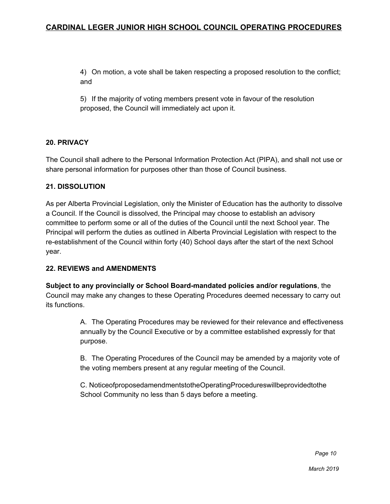4) On motion, a vote shall be taken respecting a proposed resolution to the conflict; and

5) If the majority of voting members present vote in favour of the resolution proposed, the Council will immediately act upon it.

### **20. PRIVACY**

The Council shall adhere to the Personal Information Protection Act (PIPA), and shall not use or share personal information for purposes other than those of Council business.

#### **21. DISSOLUTION**

As per Alberta Provincial Legislation, only the Minister of Education has the authority to dissolve a Council. If the Council is dissolved, the Principal may choose to establish an advisory committee to perform some or all of the duties of the Council until the next School year. The Principal will perform the duties as outlined in Alberta Provincial Legislation with respect to the re-establishment of the Council within forty (40) School days after the start of the next School year.

#### **22. REVIEWS and AMENDMENTS**

**Subject to any provincially or School Board-mandated policies and/or regulations**, the Council may make any changes to these Operating Procedures deemed necessary to carry out its functions.

> A. The Operating Procedures may be reviewed for their relevance and effectiveness annually by the Council Executive or by a committee established expressly for that purpose.

B. The Operating Procedures of the Council may be amended by a majority vote of the voting members present at any regular meeting of the Council.

C. NoticeofproposedamendmentstotheOperatingProcedureswillbeprovidedtothe School Community no less than 5 days before a meeting.